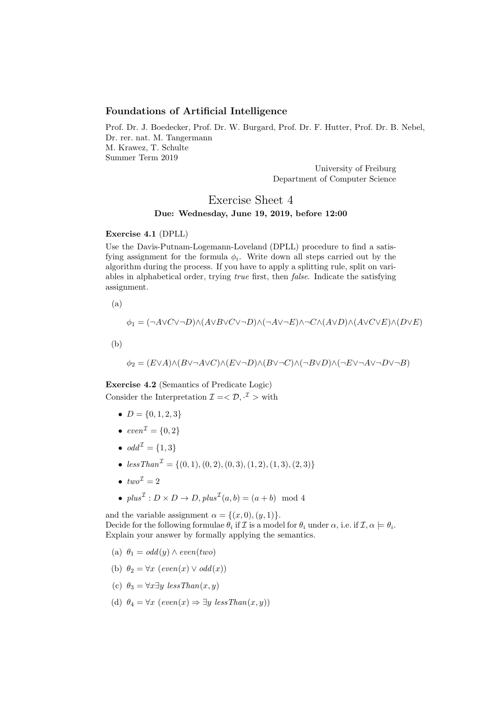## Foundations of Artificial Intelligence

Prof. Dr. J. Boedecker, Prof. Dr. W. Burgard, Prof. Dr. F. Hutter, Prof. Dr. B. Nebel, Dr. rer. nat. M. Tangermann M. Krawez, T. Schulte Summer Term 2019

> University of Freiburg Department of Computer Science

Exercise Sheet 4

## Due: Wednesday, June 19, 2019, before 12:00

## Exercise 4.1 (DPLL)

Use the Davis-Putnam-Logemann-Loveland (DPLL) procedure to find a satisfying assignment for the formula  $\phi_i$ . Write down all steps carried out by the algorithm during the process. If you have to apply a splitting rule, split on variables in alphabetical order, trying true first, then false. Indicate the satisfying assignment.

(a)

$$
\phi_1 = (\neg A \lor C \lor \neg D) \land (A \lor B \lor C \lor \neg D) \land (\neg A \lor \neg E) \land \neg C \land (A \lor D) \land (A \lor C \lor E) \land (D \lor E)
$$

(b)

 $\phi_2 = (E \lor A) \land (B \lor \neg A \lor C) \land (E \lor \neg D) \land (B \lor \neg C) \land (\neg B \lor D) \land (\neg E \lor \neg A \lor \neg D \lor \neg B)$ 

Exercise 4.2 (Semantics of Predicate Logic) Consider the Interpretation  $\mathcal{I} = \langle \mathcal{D}, \cdot^{\mathcal{I}} \rangle$  with

- $D = \{0, 1, 2, 3\}$
- $even^{\mathcal{I}} = \{0, 2\}$
- $\bullet \text{ odd}^{\mathcal{I}} = \{1,3\}$
- $less Than^{\mathcal{I}} = \{(0, 1), (0, 2), (0, 3), (1, 2), (1, 3), (2, 3)\}$
- $two^{\mathcal{I}}=2$
- $plus^{\mathcal{I}}: D \times D \rightarrow D, plus^{\mathcal{I}}(a, b) = (a + b) \mod 4$

and the variable assignment  $\alpha = \{(x, 0), (y, 1)\}.$ Decide for the following formulae  $\theta_i$  if  $\mathcal I$  is a model for  $\theta_i$  under  $\alpha$ , i.e. if  $\mathcal I, \alpha \models \theta_i$ . Explain your answer by formally applying the semantics.

- (a)  $\theta_1 = odd(y) \wedge even(two)$
- (b)  $\theta_2 = \forall x \ (even(x) \lor odd(x))$
- (c)  $\theta_3 = \forall x \exists y \; less Than(x, y)$
- (d)  $\theta_4 = \forall x \ (even(x) \Rightarrow \exists y \ less Than(x, y))$